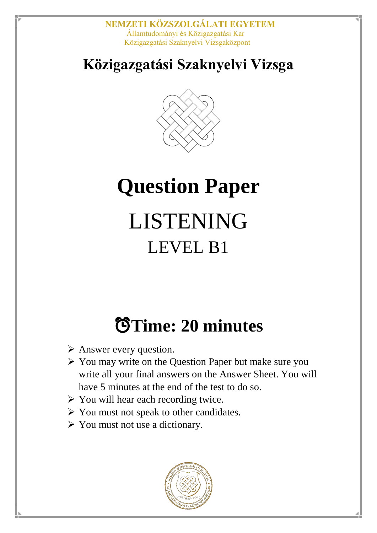## **Közigazgatási Szaknyelvi Vizsga**



# **Question Paper** LISTENING LEVEL B1

## ⏰**Time: 20 minutes**

- $\triangleright$  Answer every question.
- $\triangleright$  You may write on the Question Paper but make sure you write all your final answers on the Answer Sheet. You will have 5 minutes at the end of the test to do so.
- $\triangleright$  You will hear each recording twice.
- $\triangleright$  You must not speak to other candidates.
- You must not use a dictionary.

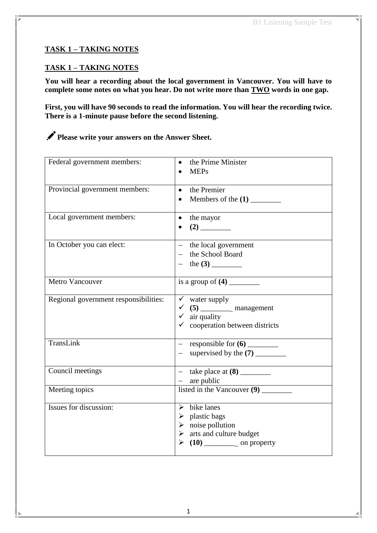#### **TASK 1 – TAKING NOTES**

#### **TASK 1 – TAKING NOTES**

**You will hear a recording about the local government in Vancouver. You will have to complete some notes on what you hear. Do not write more than TWO words in one gap.**

**First, you will have 90 seconds to read the information. You will hear the recording twice. There is a 1-minute pause before the second listening.** 

**Please write your answers on the Answer Sheet.**

| Federal government members:           | the Prime Minister<br><b>MEPs</b>                                                                                                            |
|---------------------------------------|----------------------------------------------------------------------------------------------------------------------------------------------|
| Provincial government members:        | • the Premier                                                                                                                                |
| Local government members:             | the mayor<br>$\bullet$                                                                                                                       |
| In October you can elect:             | - the local government<br>- the School Board<br>$-$ the $(3)$                                                                                |
| <b>Metro Vancouver</b>                |                                                                                                                                              |
| Regional government responsibilities: | $\checkmark$ water supply<br>$\checkmark$ air quality<br>$\checkmark$ cooperation between districts                                          |
| TransLink                             | $-$ supervised by the $(7)$                                                                                                                  |
| Council meetings                      | $-$ are public                                                                                                                               |
| Meeting topics                        |                                                                                                                                              |
| Issues for discussion:                | $\triangleright$ bike lanes<br>$\triangleright$ plastic bags<br>$\triangleright$ noise pollution<br>$\triangleright$ arts and culture budget |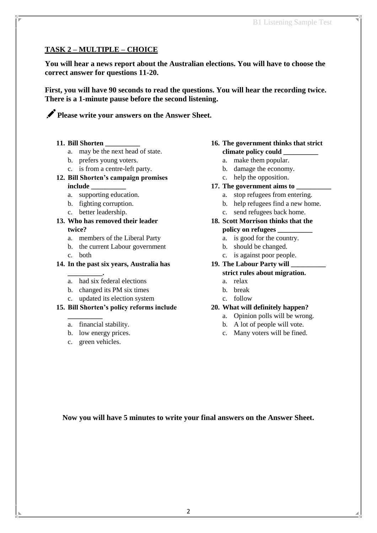#### **TASK 2 – MULTIPLE – CHOICE**

**You will hear a news report about the Australian elections. You will have to choose the correct answer for questions 11-20.** 

**First, you will have 90 seconds to read the questions. You will hear the recording twice. There is a 1-minute pause before the second listening.**

**Please write your answers on the Answer Sheet.**

- **11. Bill Shorten \_\_\_\_\_\_\_\_\_\_**
	- a. may be the next head of state.
	- b. prefers young voters.
	- c. is from a centre-left party.

#### **12. Bill Shorten's campaign promises include \_\_\_\_\_\_\_\_\_\_**

- a. supporting education.
- b. fighting corruption.
- c. better leadership.
- **13. Who has removed their leader twice?**
	- a. members of the Liberal Party
	- b. the current Labour government
		- c. both
- **14. In the past six years, Australia has** 
	- **\_\_\_\_\_\_\_\_\_\_.** a. had six federal elections
	- b. changed its PM six times
	- c. updated its election system

#### **15. Bill Shorten's policy reforms include**

- a. financial stability.
- b. low energy prices.
- c. green vehicles.

**\_\_\_\_\_\_\_\_\_\_**

#### **16. The government thinks that strict climate policy could \_\_\_\_\_\_\_\_\_\_**

- a. make them popular.
- b. damage the economy.
- c. help the opposition.
- **17. The government aims to \_\_\_\_\_\_\_\_\_\_**
	- a. stop refugees from entering.
	- b. help refugees find a new home.
	- c. send refugees back home.

#### **18. Scott Morrison thinks that the**

- **policy on refugees \_\_\_\_\_\_\_\_\_\_**
	- a. is good for the country.
	- b. should be changed.
	- c. is against poor people.

#### **19. The Labour Party will \_\_\_\_\_\_\_\_\_\_ strict rules about migration.**

- a. relax
- b. break
- c. follow

#### **20. What will definitely happen?**

- a. Opinion polls will be wrong.
- b. A lot of people will vote.
- c. Many voters will be fined.

**Now you will have 5 minutes to write your final answers on the Answer Sheet.**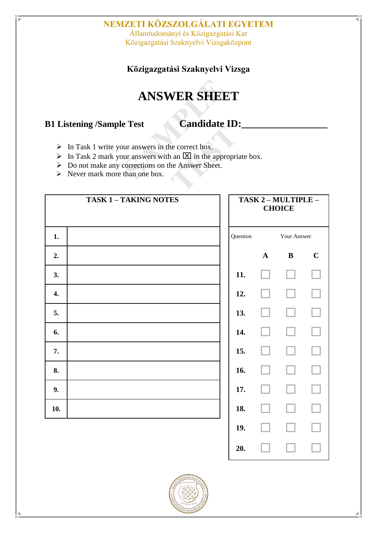#### **NEMZETI KÖZSZOLGÁLATI EGYETEM** Államtudományi és Közigazgatási Kar

Közigazgatási Szaknyelvi Vizsgaközpont

**Közigazgatási Szaknyelvi Vizsga**

### **ANSWER SHEET**

**B1 Listening /Sample Test Candidate ID:** 

- $\triangleright$  In Task 1 write your answers in the correct box.
- In Task 2 mark your answers with an  $\boxtimes$  in the appropriate box.
- ▶ Do not make any corrections on the Answer Sheet.
- $\triangleright$  Never mark more than one box.

| TASK 1 - TAKING NOTES |  | TASK 2 - MULTIPLE -<br><b>CHOICE</b> |              |          |             |
|-----------------------|--|--------------------------------------|--------------|----------|-------------|
| 1.                    |  | Question                             | Your Answer  |          |             |
| 2.                    |  |                                      | $\mathbf{A}$ | $\bf{B}$ | $\mathbf C$ |
| 3.                    |  | 11.                                  |              |          |             |
| 4.                    |  | 12.                                  |              |          |             |
| 5.                    |  | 13.                                  |              |          |             |
| 6.                    |  | 14.                                  |              |          |             |
| 7.                    |  | 15.                                  |              |          |             |
| 8.                    |  | 16.                                  |              |          |             |
| 9.                    |  | 17.                                  |              |          |             |
| 10.                   |  | 18.                                  |              |          |             |
|                       |  | 19.                                  |              |          |             |



**20.** □ □ □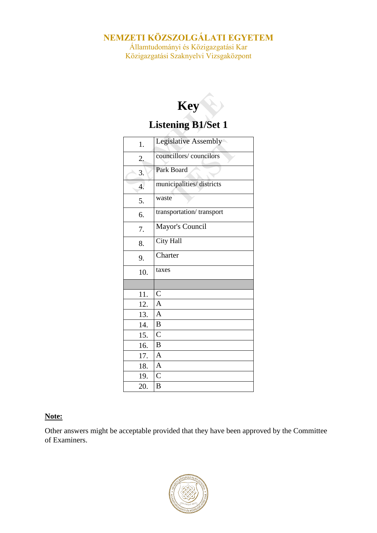### **NEMZETI KÖZSZOLGÁLATI EGYETEM**

Államtudományi és Közigazgatási Kar Közigazgatási Szaknyelvi Vizsgaközpont

## **Key Listening B1/Set 1**

| 1.                         | Legislative Assembly     |
|----------------------------|--------------------------|
| 2.                         | councillors/councilors   |
| $\overline{\phantom{a}}3.$ | Park Board               |
| $\overline{4}$ .           | municipalities/districts |
| 5.                         | waste                    |
| 6.                         | transportation/transport |
| 7.                         | Mayor's Council          |
| 8.                         | City Hall                |
| 9.                         | Charter                  |
| 10.                        | taxes                    |
|                            |                          |
| 11.                        | $\mathsf{C}$             |
| 12.                        | $\overline{A}$           |
| 13.                        | $\overline{A}$           |
| 14.                        | B                        |
| 15.                        | $\overline{C}$           |
| 16.                        | $\bf{B}$                 |
| 17.                        | $\mathbf{A}$             |
| 18.                        | $\overline{A}$           |
| 19.                        | $\overline{C}$           |
| 20.                        | B                        |

#### **Note:**

Other answers might be acceptable provided that they have been approved by the Committee of Examiners.

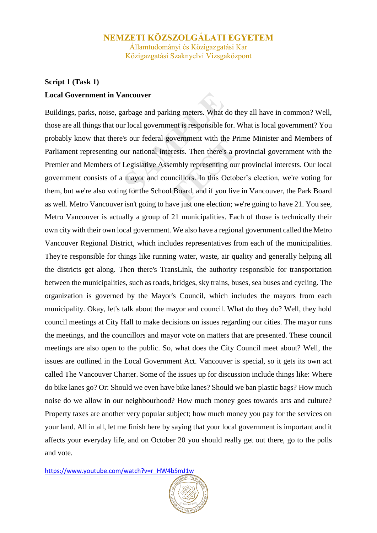Államtudományi és Közigazgatási Kar Közigazgatási Szaknyelvi Vizsgaközpont

#### **Script 1 (Task 1) Local Government in Vancouver**

Buildings, parks, noise, garbage and parking meters. What do they all have in common? Well, those are all things that our local government is responsible for. What is local government? You probably know that there's our federal government with the Prime Minister and Members of Parliament representing our national interests. Then there's a provincial government with the Premier and Members of Legislative Assembly representing our provincial interests. Our local government consists of a mayor and councillors. In this October's election, we're voting for them, but we're also voting for the School Board, and if you live in Vancouver, the Park Board as well. Metro Vancouver isn't going to have just one election; we're going to have 21. You see, Metro Vancouver is actually a group of 21 municipalities. Each of those is technically their own city with their own local government. We also have a regional government called the Metro Vancouver Regional District, which includes representatives from each of the municipalities. They're responsible for things like running water, waste, air quality and generally helping all the districts get along. Then there's TransLink, the authority responsible for transportation between the municipalities, such as roads, bridges, sky trains, buses, sea buses and cycling. The organization is governed by the Mayor's Council, which includes the mayors from each municipality. Okay, let's talk about the mayor and council. What do they do? Well, they hold council meetings at City Hall to make decisions on issues regarding our cities. The mayor runs the meetings, and the councillors and mayor vote on matters that are presented. These council meetings are also open to the public. So, what does the City Council meet about? Well, the issues are outlined in the Local Government Act. Vancouver is special, so it gets its own act called The Vancouver Charter. Some of the issues up for discussion include things like: Where do bike lanes go? Or: Should we even have bike lanes? Should we ban plastic bags? How much noise do we allow in our neighbourhood? How much money goes towards arts and culture? Property taxes are another very popular subject; how much money you pay for the services on your land. All in all, let me finish here by saying that your local government is important and it affects your everyday life, and on October 20 you should really get out there, go to the polls and vote.

[https://www.youtube.com/watch?v=r\\_HW4bSmJ1w](https://www.youtube.com/watch?v=r_HW4bSmJ1w)